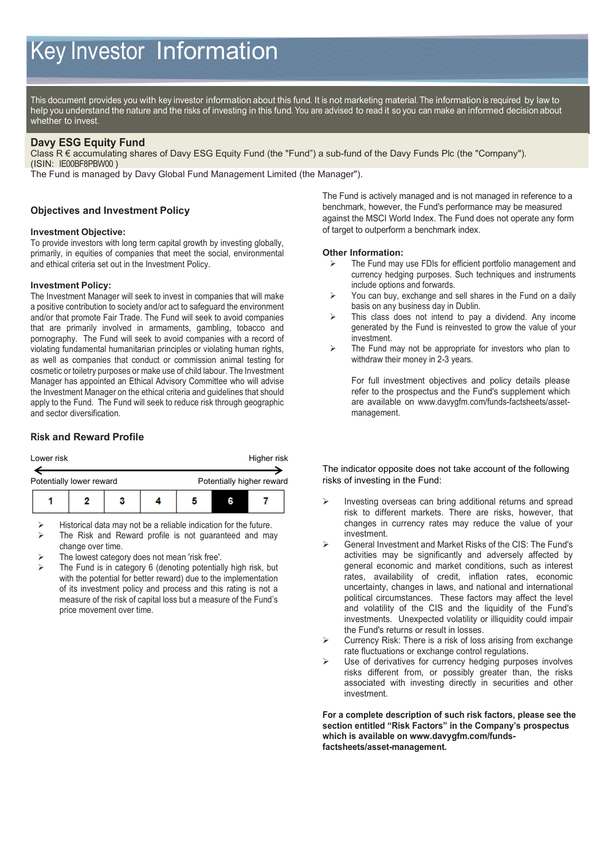# Key Investor Information

This document provides you with key investor information about this fund. It is not marketing material. The information is required by law to help you understand the nature and the risks of investing in this fund. You are advised to read it so you can make an informed decision about whether to invest.

#### **Davy ESG Equity Fund**

Class R € accumulating shares of Davy ESG Equity Fund (the "Fund") a sub-fund of the Davy Funds Plc (the "Company"). (ISIN: IE00BF8PBW00 )

The Fund is managed by Davy Global Fund Management Limited (the Manager").

## **Objectives and Investment Policy**

## **Investment Objective:**

To provide investors with long term capital growth by investing globally, primarily, in equities of companies that meet the social, environmental and ethical criteria set out in the Investment Policy.

#### **Investment Policy:**

The Investment Manager will seek to invest in companies that will make a positive contribution to society and/or act to safeguard the environment and/or that promote Fair Trade. The Fund will seek to avoid companies that are primarily involved in armaments, gambling, tobacco and pornography. The Fund will seek to avoid companies with a record of violating fundamental humanitarian principles or violating human rights, as well as companies that conduct or commission animal testing for cosmetic or toiletry purposes or make use of child labour. The Investment Manager has appointed an Ethical Advisory Committee who will advise the Investment Manager on the ethical criteria and guidelines that should apply to the Fund. The Fund will seek to reduce risk through geographic and sector diversification.

# **Risk and Reward Profile**

| Lower risk               |  |   | Higher risk               |  |  |  |
|--------------------------|--|---|---------------------------|--|--|--|
| Potentially lower reward |  |   | Potentially higher reward |  |  |  |
|                          |  | з |                           |  |  |  |

Historical data may not be a reliable indication for the future.

- The Risk and Reward profile is not guaranteed and may change over time.
- The lowest category does not mean 'risk free'.
- The Fund is in category 6 (denoting potentially high risk, but with the potential for better reward) due to the implementation of its investment policy and process and this rating is not a measure of the risk of capital loss but a measure of the Fund's price movement over time.

The Fund is actively managed and is not managed in reference to a benchmark, however, the Fund's performance may be measured against the MSCI World Index. The Fund does not operate any form of target to outperform a benchmark index.

## **Other Information:**

- The Fund may use FDIs for efficient portfolio management and currency hedging purposes. Such techniques and instruments include options and forwards.
- $\triangleright$  You can buy, exchange and sell shares in the Fund on a daily basis on any business day in Dublin.
- > This class does not intend to pay a dividend. Any income generated by the Fund is reinvested to grow the value of your investment.
- $\triangleright$  The Fund may not be appropriate for investors who plan to withdraw their money in 2-3 years.

For full investment objectives and policy details please refer to the prospectus and the Fund's supplement which are available on www.davygfm.com/funds-factsheets/assetmanagement.

The indicator opposite does not take account of the following risks of investing in the Fund:

- Investing overseas can bring additional returns and spread risk to different markets. There are risks, however, that changes in currency rates may reduce the value of your investment.
- General Investment and Market Risks of the CIS: The Fund's activities may be significantly and adversely affected by general economic and market conditions, such as interest rates, availability of credit, inflation rates, economic uncertainty, changes in laws, and national and international political circumstances. These factors may affect the level and volatility of the CIS and the liquidity of the Fund's investments. Unexpected volatility or illiquidity could impair the Fund's returns or result in losses.
- Currency Risk: There is a risk of loss arising from exchange rate fluctuations or exchange control regulations.
- Use of derivatives for currency hedging purposes involves risks different from, or possibly greater than, the risks associated with investing directly in securities and other investment.

**For a complete description of such risk factors, please see the section entitled "Risk Factors" in the Company's prospectus which is available on www.davygfm.com/fundsfactsheets/asset-management.**